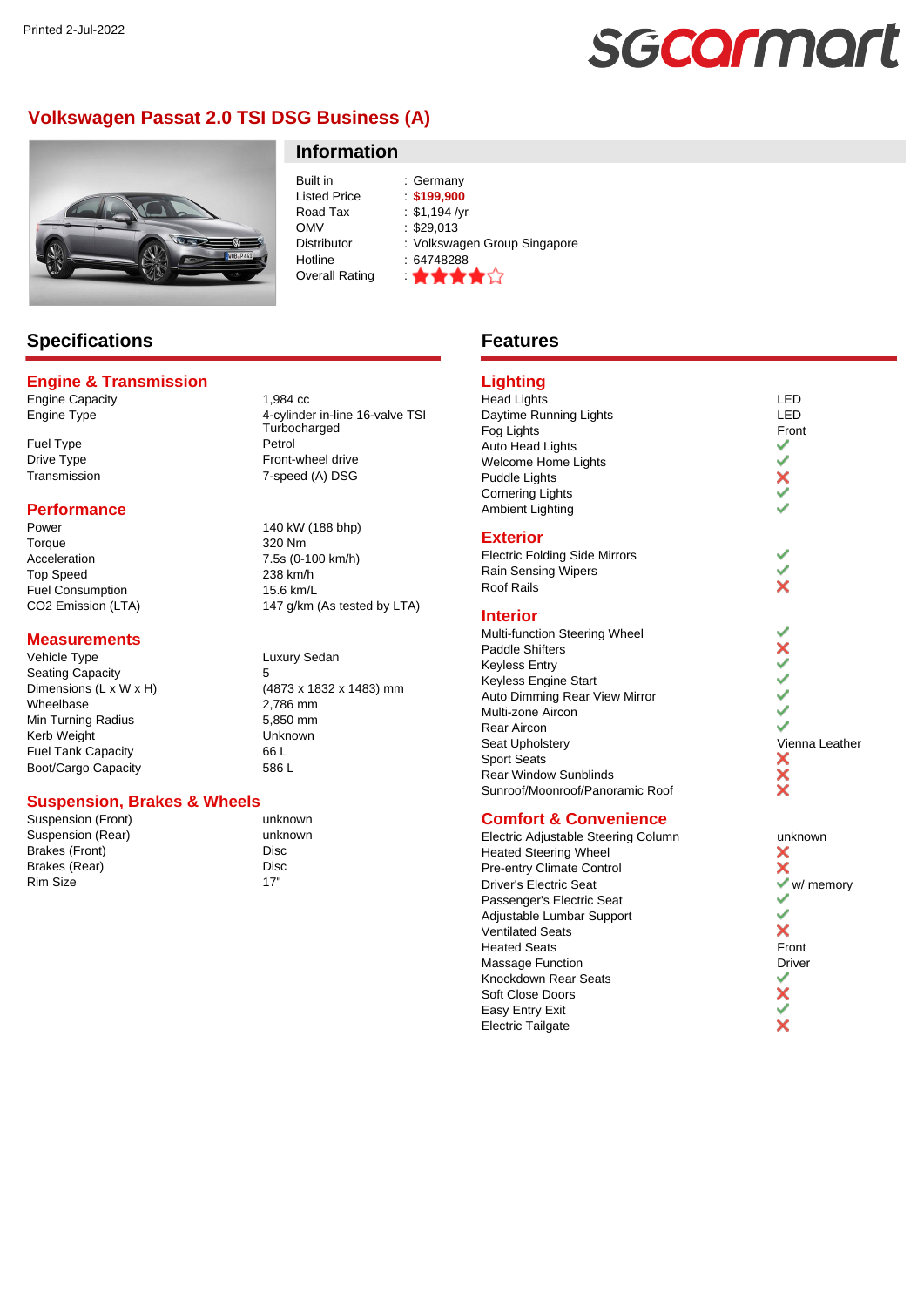# sgcarmart

# **Volkswagen Passat 2.0 TSI DSG Business (A)**



# **Specifications**

#### **Engine & Transmission**

Engine Capacity<br>
Engine Type<br>
4-cylinde

Fuel Type Petrol Drive Type **Front-wheel drive** Transmission 7-speed (A) DSG

#### **Performance**

Power 140 kW (188 bhp) Torque 320 Nm Acceleration 7.5s (0-100 km/h) Top Speed 238 km/h Fuel Consumption 15.6 km/L<br>CO2 Emission (LTA) 147 a/km

#### **Measurements**

Vehicle Type Luxury Sedan Seating Capacity 5 Wheelbase 2,786 mm<br>
Min Turning Radius 2,850 mm Min Turning Radius Kerb Weight **Unknown** Fuel Tank Capacity **66 L** Boot/Cargo Capacity 586 L

Dimensions (L x W x H) (4873 x 1832 x 1483) mm

#### **Suspension, Brakes & Wheels**

Suspension (Front) unknown Suspension (Rear) **unknown** Brakes (Front) Disc Brakes (Rear) Disc Rim Size 17"

**Information**

Built in : Germany<br>
Listed Price : \$199,900 Listed Price Road Tax : \$1,194 /yr<br>OMV : \$29.013 Hotline : 64748288 Overall Rating \

4-cylinder in-line 16-valve TSI

147 g/km (As tested by LTA)

Turbocharged

 $\cdot$  \$29.013 Distributor : Volkswagen Group Singapore

## **Features**

# **Lighting**

Head Lights LED<br>Daytime Running Lights Lexuber 2011 Daytime Running Lights Fog Lights Front Auto Head Lights Welcome Home Lights Puddle Lights Cornering Lights Ambient Lighting **Exterior** Electric Folding Side Mirrors

#### Rain Sensing Wipers Roof Rails

#### **Interior**

Multi-function Steering Wheel Paddle Shifters Keyless Entry Keyless Engine Start Auto Dimming Rear View Mirror Multi-zone Aircon Rear Aircon Seat Upholstery Vienna Leather<br>
Sport Seats<br>
Rear Window Sunblinds<br>
Sunroof/Moonroof/Panoramic Roof<br> **X** Sport Seats Rear Window Sunblinds Sunroof/Moonroof/Panoramic Roof

#### **Comfort & Convenience**

Electric Adjustable Steering Column by the unknown Heated Steering Wheel Pre-entry Climate Control Driver's Electric Seat<br>
Passenger's Electric Seat<br>
Passenger's Electric Seat Passenger's Electric Seat Adjustable Lumbar Support Ventilated Seats Heated Seats Front Massage Function **Driver** Driver Knockdown Rear Seats Soft Close Doors Easy Entry Exit Electric Tailgate

 $\frac{1}{2}$ Š

 $\checkmark$ V  $\frac{1}{2}$ 

ż

 $_{\sf x}^{\sf x}$ ✓ ×. v  $\times$